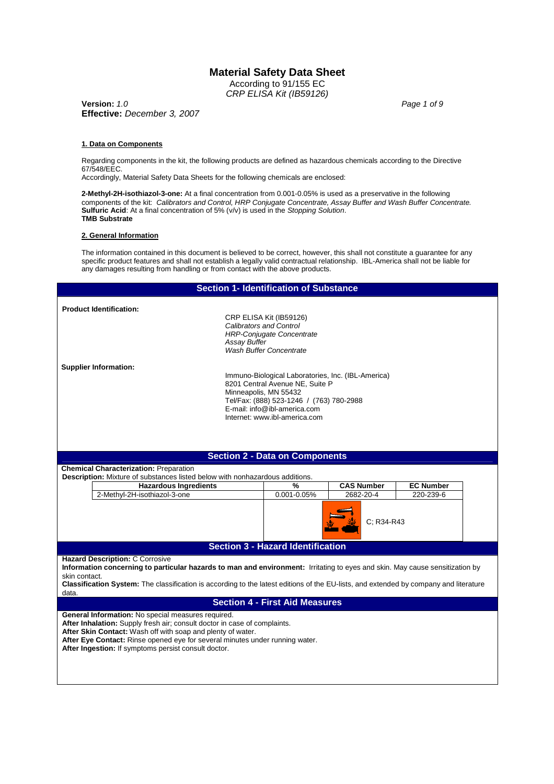According to 91/155 EC *CRP ELISA Kit (IB59126)*

**Version:** *1.0 Page 1 of 9* **Effective:** *December 3, 2007*

#### **1. Data on Components**

Regarding components in the kit, the following products are defined as hazardous chemicals according to the Directive 67/548/EEC.

Accordingly, Material Safety Data Sheets for the following chemicals are enclosed:

**2-Methyl-2H-isothiazol-3-one:** At a final concentration from 0.001-0.05% is used as a preservative in the following components of the kit: *Calibrators and Control, HRP Conjugate Concentrate, Assay Buffer and Wash Buffer Concentrate.* **Sulfuric Acid**: At a final concentration of 5% (v/v) is used in the *Stopping Solution*. **TMB Substrate**

#### **2. General Information**

The information contained in this document is believed to be correct, however, this shall not constitute a guarantee for any specific product features and shall not establish a legally valid contractual relationship. IBL-America shall not be liable for any damages resulting from handling or from contact with the above products.

|                                                                                                                                          |                              | <b>Section 1- Identification of Substance</b>                                         |                   |                  |  |
|------------------------------------------------------------------------------------------------------------------------------------------|------------------------------|---------------------------------------------------------------------------------------|-------------------|------------------|--|
| <b>Product Identification:</b>                                                                                                           |                              |                                                                                       |                   |                  |  |
|                                                                                                                                          |                              | CRP ELISA Kit (IB59126)                                                               |                   |                  |  |
|                                                                                                                                          |                              | <b>Calibrators and Control</b>                                                        |                   |                  |  |
|                                                                                                                                          |                              | <b>HRP-Conjugate Concentrate</b>                                                      |                   |                  |  |
|                                                                                                                                          | <b>Assay Buffer</b>          | <b>Wash Buffer Concentrate</b>                                                        |                   |                  |  |
|                                                                                                                                          |                              |                                                                                       |                   |                  |  |
| <b>Supplier Information:</b>                                                                                                             |                              |                                                                                       |                   |                  |  |
|                                                                                                                                          |                              | Immuno-Biological Laboratories, Inc. (IBL-America)<br>8201 Central Avenue NE, Suite P |                   |                  |  |
|                                                                                                                                          |                              | Minneapolis, MN 55432                                                                 |                   |                  |  |
|                                                                                                                                          |                              | Tel/Fax: (888) 523-1246 / (763) 780-2988                                              |                   |                  |  |
|                                                                                                                                          |                              | E-mail: info@ibl-america.com                                                          |                   |                  |  |
|                                                                                                                                          |                              | Internet: www.ibl-america.com                                                         |                   |                  |  |
|                                                                                                                                          |                              |                                                                                       |                   |                  |  |
|                                                                                                                                          |                              |                                                                                       |                   |                  |  |
|                                                                                                                                          |                              |                                                                                       |                   |                  |  |
|                                                                                                                                          |                              |                                                                                       |                   |                  |  |
|                                                                                                                                          |                              | <b>Section 2 - Data on Components</b>                                                 |                   |                  |  |
| <b>Chemical Characterization: Preparation</b>                                                                                            |                              |                                                                                       |                   |                  |  |
| Description: Mixture of substances listed below with nonhazardous additions.                                                             | <b>Hazardous Ingredients</b> | %                                                                                     | <b>CAS Number</b> | <b>EC Number</b> |  |
| 2-Methyl-2H-isothiazol-3-one                                                                                                             |                              | 0.001-0.05%                                                                           | 2682-20-4         | 220-239-6        |  |
|                                                                                                                                          |                              |                                                                                       |                   |                  |  |
|                                                                                                                                          |                              |                                                                                       |                   |                  |  |
|                                                                                                                                          |                              |                                                                                       | C: R34-R43        |                  |  |
|                                                                                                                                          |                              |                                                                                       |                   |                  |  |
|                                                                                                                                          |                              | <b>Section 3 - Hazard Identification</b>                                              |                   |                  |  |
| <b>Hazard Description: C Corrosive</b>                                                                                                   |                              |                                                                                       |                   |                  |  |
| Information concerning to particular hazards to man and environment: Irritating to eyes and skin. May cause sensitization by             |                              |                                                                                       |                   |                  |  |
| skin contact.                                                                                                                            |                              |                                                                                       |                   |                  |  |
| Classification System: The classification is according to the latest editions of the EU-lists, and extended by company and literature    |                              |                                                                                       |                   |                  |  |
| data.                                                                                                                                    |                              |                                                                                       |                   |                  |  |
|                                                                                                                                          |                              | <b>Section 4 - First Aid Measures</b>                                                 |                   |                  |  |
| General Information: No special measures required.                                                                                       |                              |                                                                                       |                   |                  |  |
| After Inhalation: Supply fresh air; consult doctor in case of complaints.<br>After Skin Contact: Wash off with soap and plenty of water. |                              |                                                                                       |                   |                  |  |

**After Ingestion:** If symptoms persist consult doctor.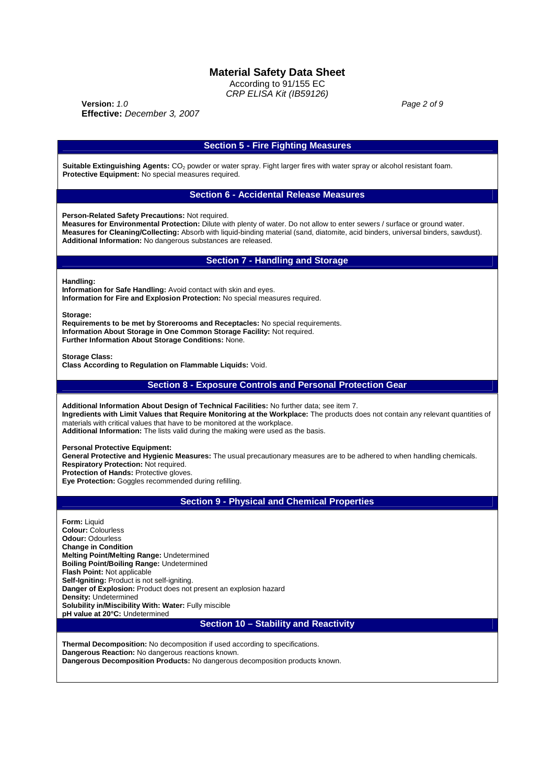According to 91/155 EC *CRP ELISA Kit (IB59126)*

**Version:** *1.0 Page 2 of 9* **Effective:** *December 3, 2007*

|                                                                                                                                                                                                                                                                                                                                                                                                | <b>Section 5 - Fire Fighting Measures</b>                                                                                                                                                                                                                                                                          |
|------------------------------------------------------------------------------------------------------------------------------------------------------------------------------------------------------------------------------------------------------------------------------------------------------------------------------------------------------------------------------------------------|--------------------------------------------------------------------------------------------------------------------------------------------------------------------------------------------------------------------------------------------------------------------------------------------------------------------|
| Protective Equipment: No special measures required.                                                                                                                                                                                                                                                                                                                                            | Suitable Extinguishing Agents: CO <sub>2</sub> powder or water spray. Fight larger fires with water spray or alcohol resistant foam.                                                                                                                                                                               |
|                                                                                                                                                                                                                                                                                                                                                                                                | <b>Section 6 - Accidental Release Measures</b>                                                                                                                                                                                                                                                                     |
| Person-Related Safety Precautions: Not required.<br>Additional Information: No dangerous substances are released.                                                                                                                                                                                                                                                                              | Measures for Environmental Protection: Dilute with plenty of water. Do not allow to enter sewers / surface or ground water.<br>Measures for Cleaning/Collecting: Absorb with liquid-binding material (sand, diatomite, acid binders, universal binders, sawdust).                                                  |
|                                                                                                                                                                                                                                                                                                                                                                                                | <b>Section 7 - Handling and Storage</b>                                                                                                                                                                                                                                                                            |
| Handling:<br>Information for Safe Handling: Avoid contact with skin and eyes.                                                                                                                                                                                                                                                                                                                  | Information for Fire and Explosion Protection: No special measures required.                                                                                                                                                                                                                                       |
| Storage:<br>Further Information About Storage Conditions: None.                                                                                                                                                                                                                                                                                                                                | Requirements to be met by Storerooms and Receptacles: No special requirements.<br>Information About Storage in One Common Storage Facility: Not required.                                                                                                                                                          |
| <b>Storage Class:</b><br>Class According to Regulation on Flammable Liquids: Void.                                                                                                                                                                                                                                                                                                             |                                                                                                                                                                                                                                                                                                                    |
|                                                                                                                                                                                                                                                                                                                                                                                                | <b>Section 8 - Exposure Controls and Personal Protection Gear</b>                                                                                                                                                                                                                                                  |
| materials with critical values that have to be monitored at the workplace.                                                                                                                                                                                                                                                                                                                     | Additional Information About Design of Technical Facilities: No further data; see item 7.<br>Ingredients with Limit Values that Require Monitoring at the Workplace: The products does not contain any relevant quantities of<br>Additional Information: The lists valid during the making were used as the basis. |
| <b>Personal Protective Equipment:</b><br>Respiratory Protection: Not required.<br>Protection of Hands: Protective gloves.<br>Eye Protection: Goggles recommended during refilling.                                                                                                                                                                                                             | General Protective and Hygienic Measures: The usual precautionary measures are to be adhered to when handling chemicals.                                                                                                                                                                                           |
|                                                                                                                                                                                                                                                                                                                                                                                                | <b>Section 9 - Physical and Chemical Properties</b>                                                                                                                                                                                                                                                                |
| <b>Form: Liquid</b><br><b>Colour: Colourless</b><br><b>Odour: Odourless</b><br><b>Change in Condition</b><br>Melting Point/Melting Range: Undetermined<br>Boiling Point/Boiling Range: Undetermined<br>Flash Point: Not applicable<br><b>Self-Igniting:</b> Product is not self-igniting.<br>Danger of Explosion: Product does not present an explosion hazard<br><b>Density: Undetermined</b> |                                                                                                                                                                                                                                                                                                                    |
| Solubility in/Miscibility With: Water: Fully miscible<br>pH value at 20°C: Undetermined                                                                                                                                                                                                                                                                                                        |                                                                                                                                                                                                                                                                                                                    |

**Dangerous Decomposition Products:** No dangerous decomposition products known.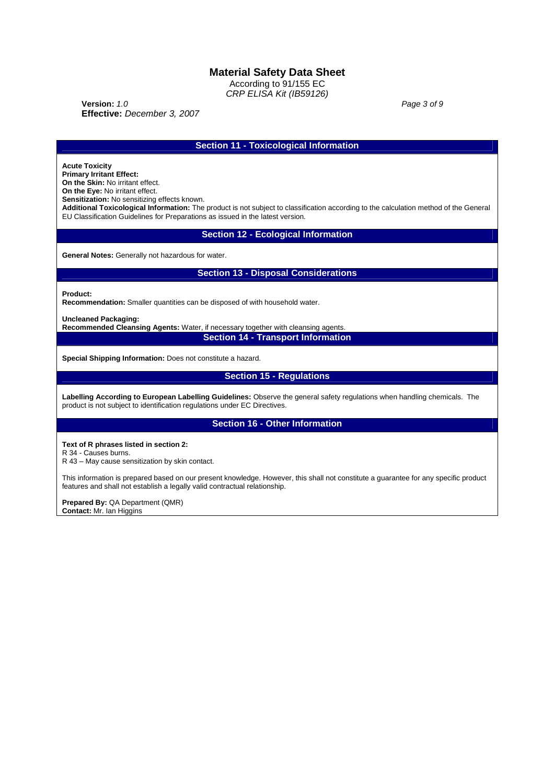According to 91/155 EC *CRP ELISA Kit (IB59126)*

**Version:** *1.0 Page 3 of 9* **Effective:** *December 3, 2007*

**Section 11 - Toxicological Information**

**Acute Toxicity**

**Primary Irritant Effect: On the Skin:** No irritant effect.

**On the Eye:** No irritant effect.

**Sensitization:** No sensitizing effects known.

**Additional Toxicological Information:** The product is not subject to classification according to the calculation method of the General EU Classification Guidelines for Preparations as issued in the latest version.

**Section 12 - Ecological Information**

**General Notes:** Generally not hazardous for water.

## **Section 13 - Disposal Considerations**

**Product:**

**Recommendation:** Smaller quantities can be disposed of with household water.

**Uncleaned Packaging:**

**Recommended Cleansing Agents:** Water, if necessary together with cleansing agents. **Section 14 - Transport Information**

**Special Shipping Information:** Does not constitute a hazard.

## **Section 15 - Regulations**

**Labelling According to European Labelling Guidelines:** Observe the general safety regulations when handling chemicals. The product is not subject to identification regulations under EC Directives.

**Section 16 - Other Information**

**Text of R phrases listed in section 2:**

R 34 - Causes burns.

R 43 – May cause sensitization by skin contact.

This information is prepared based on our present knowledge. However, this shall not constitute a guarantee for any specific product features and shall not establish a legally valid contractual relationship.

**Prepared By:** QA Department (QMR)

**Contact:** Mr. Ian Higgins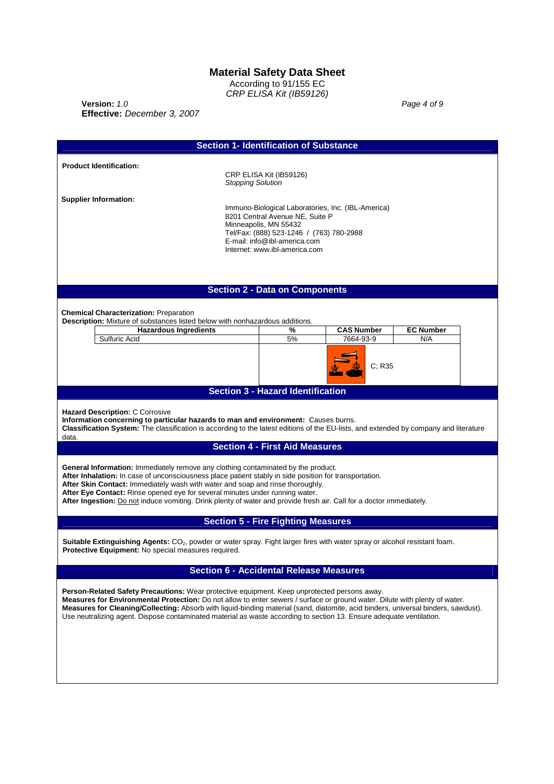According to 91/155 EC *CRP ELISA Kit (IB59126)*

**Version:** *1.0 Page 4 of 9* **Effective:** *December 3, 2007*

| <b>Section 1- Identification of Substance</b>                                                                                                                                                                                                                                                                                                                                                                                                                                                                                                                                                                                                                                                                                 |                                                                                                                                              |                                                           |
|-------------------------------------------------------------------------------------------------------------------------------------------------------------------------------------------------------------------------------------------------------------------------------------------------------------------------------------------------------------------------------------------------------------------------------------------------------------------------------------------------------------------------------------------------------------------------------------------------------------------------------------------------------------------------------------------------------------------------------|----------------------------------------------------------------------------------------------------------------------------------------------|-----------------------------------------------------------|
| <b>Product Identification:</b><br><b>Stopping Solution</b>                                                                                                                                                                                                                                                                                                                                                                                                                                                                                                                                                                                                                                                                    | CRP ELISA Kit (IB59126)                                                                                                                      |                                                           |
| <b>Supplier Information:</b><br>Minneapolis, MN 55432                                                                                                                                                                                                                                                                                                                                                                                                                                                                                                                                                                                                                                                                         | 8201 Central Avenue NE, Suite P<br>Tel/Fax: (888) 523-1246 / (763) 780-2988<br>E-mail: info@ibl-america.com<br>Internet: www.ibl-america.com | Immuno-Biological Laboratories, Inc. (IBL-America)        |
| <b>Section 2 - Data on Components</b>                                                                                                                                                                                                                                                                                                                                                                                                                                                                                                                                                                                                                                                                                         |                                                                                                                                              |                                                           |
| <b>Chemical Characterization: Preparation</b><br>Description: Mixture of substances listed below with nonhazardous additions.<br><b>Hazardous Ingredients</b><br>Sulfuric Acid                                                                                                                                                                                                                                                                                                                                                                                                                                                                                                                                                | %<br>5%                                                                                                                                      | <b>CAS Number</b><br><b>EC Number</b><br>7664-93-9<br>N/A |
|                                                                                                                                                                                                                                                                                                                                                                                                                                                                                                                                                                                                                                                                                                                               |                                                                                                                                              | C: R35                                                    |
|                                                                                                                                                                                                                                                                                                                                                                                                                                                                                                                                                                                                                                                                                                                               | <b>Section 3 - Hazard Identification</b>                                                                                                     |                                                           |
| Information concerning to particular hazards to man and environment: Causes burns.<br>Classification System: The classification is according to the latest editions of the EU-lists, and extended by company and literature<br>data.<br>General Information: Immediately remove any clothing contaminated by the product.<br>After Inhalation: In case of unconsciousness place patient stably in side position for transportation.<br>After Skin Contact: Immediately wash with water and soap and rinse thoroughly.<br>After Eye Contact: Rinse opened eye for several minutes under running water.<br>After Ingestion: Do not induce vomiting. Drink plenty of water and provide fresh air. Call for a doctor immediately. | <b>Section 4 - First Aid Measures</b>                                                                                                        |                                                           |
| <b>Section 5 - Fire Fighting Measures</b><br>Suitable Extinguishing Agents: CO <sub>2</sub> , powder or water spray. Fight larger fires with water spray or alcohol resistant foam.<br><b>Protective Equipment:</b> No special measures required.                                                                                                                                                                                                                                                                                                                                                                                                                                                                             |                                                                                                                                              |                                                           |
| <b>Section 6 - Accidental Release Measures</b><br><b>Person-Related Safety Precautions:</b> Wear protective equipment. Keep unprotected persons away.<br>Measures for Environmental Protection: Do not allow to enter sewers / surface or ground water. Dilute with plenty of water.<br>Measures for Cleaning/Collecting: Absorb with liquid-binding material (sand, diatomite, acid binders, universal binders, sawdust).<br>Use neutralizing agent. Dispose contaminated material as waste according to section 13. Ensure adequate ventilation.                                                                                                                                                                            |                                                                                                                                              |                                                           |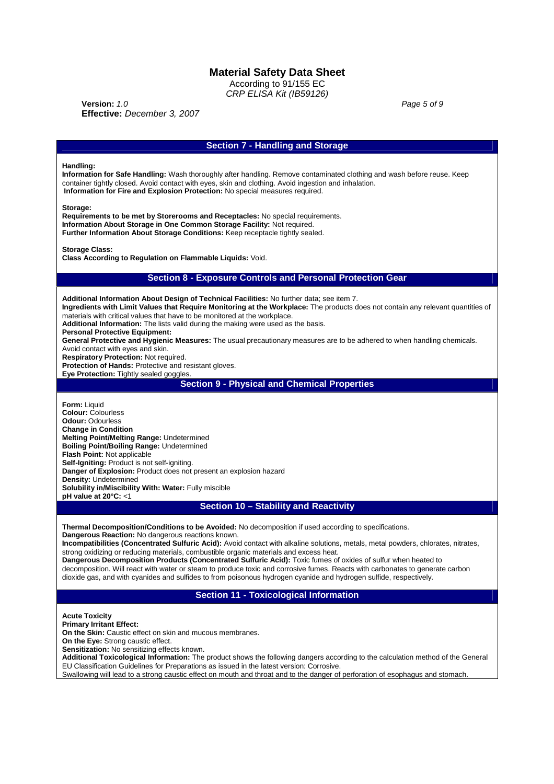According to 91/155 EC *CRP ELISA Kit (IB59126)*

**Version:** *1.0 Page 5 of 9* **Effective:** *December 3, 2007*

### **Section 7 - Handling and Storage**

#### **Handling:**

**Information for Safe Handling:** Wash thoroughly after handling. Remove contaminated clothing and wash before reuse. Keep container tightly closed. Avoid contact with eyes, skin and clothing. Avoid ingestion and inhalation. **Information for Fire and Explosion Protection:** No special measures required.

**Storage:**

**Requirements to be met by Storerooms and Receptacles:** No special requirements. **Information About Storage in One Common Storage Facility:** Not required. **Further Information About Storage Conditions:** Keep receptacle tightly sealed.

**Storage Class:**

**Class According to Regulation on Flammable Liquids:** Void.

#### **Section 8 - Exposure Controls and Personal Protection Gear**

**Additional Information About Design of Technical Facilities:** No further data; see item 7. **Ingredients with Limit Values that Require Monitoring at the Workplace:** The products does not contain any relevant quantities of materials with critical values that have to be monitored at the workplace. **Additional Information:** The lists valid during the making were used as the basis. **Personal Protective Equipment: General Protective and Hygienic Measures:** The usual precautionary measures are to be adhered to when handling chemicals. Avoid contact with eyes and skin. **Respiratory Protection:** Not required. **Protection of Hands:** Protective and resistant gloves. **Eve Protection:** Tightly sealed goggles. **Section 9 - Physical and Chemical Properties Form:** Liquid **Colour:** Colourless **Odour:** Odourless **Change in Condition Melting Point/Melting Range:** Undetermined **Boiling Point/Boiling Range:** Undetermined **Flash Point:** Not applicable **Self-Igniting:** Product is not self-igniting. **Danger of Explosion:** Product does not present an explosion hazard **Density:** Undetermined **Solubility in/Miscibility With: Water:** Fully miscible **pH value at 20°C:** <1 **Section 10 – Stability and Reactivity Thermal Decomposition/Conditions to be Avoided:** No decomposition if used according to specifications. **Dangerous Reaction:** No dangerous reactions known. **Incompatibilities (Concentrated Sulfuric Acid):** Avoid contact with alkaline solutions, metals, metal powders, chlorates, nitrates, strong oxidizing or reducing materials, combustible organic materials and excess heat.

**Dangerous Decomposition Products (Concentrated Sulfuric Acid):** Toxic fumes of oxides of sulfur when heated to decomposition. Will react with water or steam to produce toxic and corrosive fumes. Reacts with carbonates to generate carbon dioxide gas, and with cyanides and sulfides to from poisonous hydrogen cyanide and hydrogen sulfide, respectively.

### **Section 11 - Toxicological Information**

**Acute Toxicity**

**Primary Irritant Effect:**

**On the Skin:** Caustic effect on skin and mucous membranes.

**On the Eye:** Strong caustic effect.

**Sensitization:** No sensitizing effects known.

**Additional Toxicological Information:** The product shows the following dangers according to the calculation method of the General EU Classification Guidelines for Preparations as issued in the latest version: Corrosive. Swallowing will lead to a strong caustic effect on mouth and throat and to the danger of perforation of esophagus and stomach.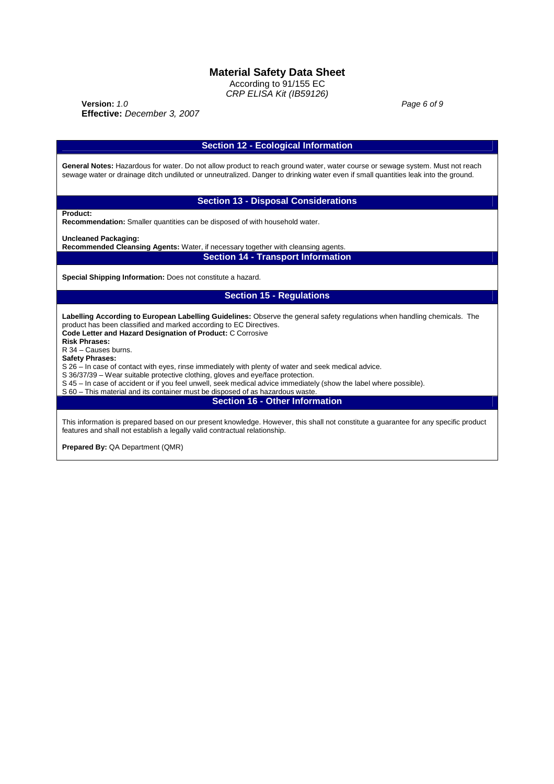According to 91/155 EC *CRP ELISA Kit (IB59126)*

**Version:** *1.0 Page 6 of 9* **Effective:** *December 3, 2007*

| <b>Section 12 - Ecological Information</b>                                                                                                                                                                                                                                                                                                                                                                                                      |
|-------------------------------------------------------------------------------------------------------------------------------------------------------------------------------------------------------------------------------------------------------------------------------------------------------------------------------------------------------------------------------------------------------------------------------------------------|
| General Notes: Hazardous for water. Do not allow product to reach ground water, water course or sewage system. Must not reach<br>sewage water or drainage ditch undiluted or unneutralized. Danger to drinking water even if small quantities leak into the ground.                                                                                                                                                                             |
| <b>Section 13 - Disposal Considerations</b>                                                                                                                                                                                                                                                                                                                                                                                                     |
| Product:<br>Recommendation: Smaller quantities can be disposed of with household water.                                                                                                                                                                                                                                                                                                                                                         |
| <b>Uncleaned Packaging:</b><br>Recommended Cleansing Agents: Water, if necessary together with cleansing agents.                                                                                                                                                                                                                                                                                                                                |
| <b>Section 14 - Transport Information</b>                                                                                                                                                                                                                                                                                                                                                                                                       |
| Special Shipping Information: Does not constitute a hazard.                                                                                                                                                                                                                                                                                                                                                                                     |
| <b>Section 15 - Regulations</b>                                                                                                                                                                                                                                                                                                                                                                                                                 |
| Labelling According to European Labelling Guidelines: Observe the general safety regulations when handling chemicals. The<br>product has been classified and marked according to EC Directives.<br>Code Letter and Hazard Designation of Product: C Corrosive<br><b>Risk Phrases:</b><br>R 34 - Causes burns.<br><b>Safety Phrases:</b><br>S 26 – In case of contact with eyes, rinse immediately with plenty of water and seek medical advice. |
| S 36/37/39 – Wear suitable protective clothing, gloves and eye/face protection.<br>S 45 – In case of accident or if you feel unwell, seek medical advice immediately (show the label where possible).<br>S 60 - This material and its container must be disposed of as hazardous waste.                                                                                                                                                         |
| <b>Section 16 - Other Information</b>                                                                                                                                                                                                                                                                                                                                                                                                           |
| This information is prepared based on our present knowledge. However, this shall not constitute a guarantee for any specific product<br>features and shall not establish a legally valid contractual relationship.                                                                                                                                                                                                                              |
| <b>Prepared By: QA Department (QMR)</b>                                                                                                                                                                                                                                                                                                                                                                                                         |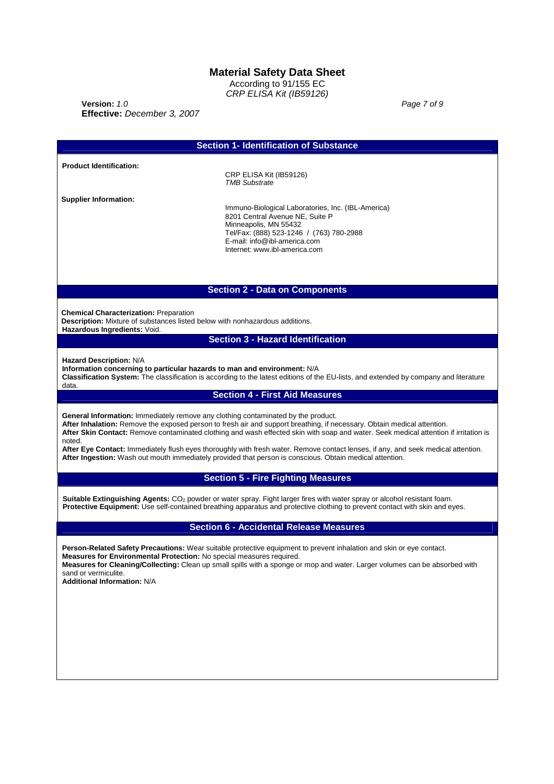According to 91/155 EC *CRP ELISA Kit (IB59126)*

**Version:** *1.0 Page 7 of 9* **Effective:** *December 3, 2007*

|                                                                                                                                                               | <b>Section 1- Identification of Substance</b>                                                                                                                                                                                                                                                                                                                                                                                                                                                                                                                                                                |
|---------------------------------------------------------------------------------------------------------------------------------------------------------------|--------------------------------------------------------------------------------------------------------------------------------------------------------------------------------------------------------------------------------------------------------------------------------------------------------------------------------------------------------------------------------------------------------------------------------------------------------------------------------------------------------------------------------------------------------------------------------------------------------------|
| <b>Product Identification:</b>                                                                                                                                |                                                                                                                                                                                                                                                                                                                                                                                                                                                                                                                                                                                                              |
|                                                                                                                                                               | CRP ELISA Kit (IB59126)<br><b>TMB Substrate</b>                                                                                                                                                                                                                                                                                                                                                                                                                                                                                                                                                              |
| <b>Supplier Information:</b>                                                                                                                                  | Immuno-Biological Laboratories, Inc. (IBL-America)<br>8201 Central Avenue NE, Suite P<br>Minneapolis, MN 55432<br>Tel/Fax: (888) 523-1246 / (763) 780-2988<br>E-mail: info@ibl-america.com<br>Internet: www.ibl-america.com                                                                                                                                                                                                                                                                                                                                                                                  |
|                                                                                                                                                               | <b>Section 2 - Data on Components</b>                                                                                                                                                                                                                                                                                                                                                                                                                                                                                                                                                                        |
| <b>Chemical Characterization: Preparation</b><br>Description: Mixture of substances listed below with nonhazardous additions.<br>Hazardous Ingredients: Void. |                                                                                                                                                                                                                                                                                                                                                                                                                                                                                                                                                                                                              |
|                                                                                                                                                               | <b>Section 3 - Hazard Identification</b>                                                                                                                                                                                                                                                                                                                                                                                                                                                                                                                                                                     |
| Hazard Description: N/A<br>Information concerning to particular hazards to man and environment: N/A<br>data.                                                  | Classification System: The classification is according to the latest editions of the EU-lists, and extended by company and literature                                                                                                                                                                                                                                                                                                                                                                                                                                                                        |
|                                                                                                                                                               | <b>Section 4 - First Aid Measures</b>                                                                                                                                                                                                                                                                                                                                                                                                                                                                                                                                                                        |
| noted.                                                                                                                                                        | <b>General Information:</b> Immediately remove any clothing contaminated by the product.<br>After Inhalation: Remove the exposed person to fresh air and support breathing, if necessary. Obtain medical attention.<br>After Skin Contact: Remove contaminated clothing and wash effected skin with soap and water. Seek medical attention if irritation is<br>After Eye Contact: Immediately flush eyes thoroughly with fresh water. Remove contact lenses, if any, and seek medical attention.<br>After Ingestion: Wash out mouth immediately provided that person is conscious. Obtain medical attention. |
|                                                                                                                                                               | <b>Section 5 - Fire Fighting Measures</b>                                                                                                                                                                                                                                                                                                                                                                                                                                                                                                                                                                    |
|                                                                                                                                                               | Suitable Extinguishing Agents: CO <sub>2</sub> powder or water spray. Fight larger fires with water spray or alcohol resistant foam.<br>Protective Equipment: Use self-contained breathing apparatus and protective clothing to prevent contact with skin and eyes.                                                                                                                                                                                                                                                                                                                                          |
|                                                                                                                                                               | <b>Section 6 - Accidental Release Measures</b>                                                                                                                                                                                                                                                                                                                                                                                                                                                                                                                                                               |
| Measures for Environmental Protection: No special measures required.<br>sand or vermiculite.<br><b>Additional Information: N/A</b>                            | Person-Related Safety Precautions: Wear suitable protective equipment to prevent inhalation and skin or eye contact.<br>Measures for Cleaning/Collecting: Clean up small spills with a sponge or mop and water. Larger volumes can be absorbed with                                                                                                                                                                                                                                                                                                                                                          |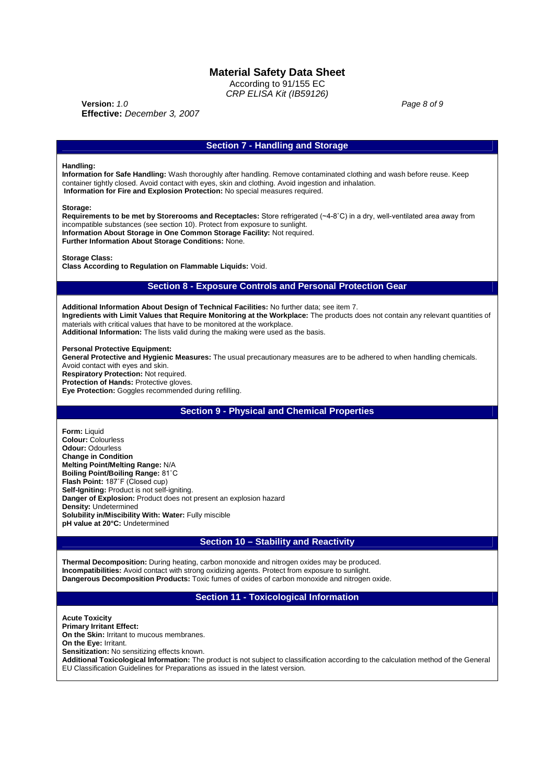According to 91/155 EC *CRP ELISA Kit (IB59126)*

**Version:**  $1.0$  **Page 8 of 9 Effective:** *December 3, 2007*

### **Section 7 - Handling and Storage**

#### **Handling:**

**Information for Safe Handling:** Wash thoroughly after handling. Remove contaminated clothing and wash before reuse. Keep container tightly closed. Avoid contact with eyes, skin and clothing. Avoid ingestion and inhalation. **Information for Fire and Explosion Protection:** No special measures required.

#### **Storage:**

**Requirements to be met by Storerooms and Receptacles:** Store refrigerated (~4-8˚C) in a dry, well-ventilated area away from incompatible substances (see section 10). Protect from exposure to sunlight. **Information About Storage in One Common Storage Facility:** Not required. **Further Information About Storage Conditions:** None.

#### **Storage Class:**

**Class According to Regulation on Flammable Liquids:** Void.

### **Section 8 - Exposure Controls and Personal Protection Gear**

**Additional Information About Design of Technical Facilities:** No further data; see item 7. **Ingredients with Limit Values that Require Monitoring at the Workplace:** The products does not contain any relevant quantities of materials with critical values that have to be monitored at the workplace. **Additional Information:** The lists valid during the making were used as the basis.

**Personal Protective Equipment:**

**General Protective and Hygienic Measures:** The usual precautionary measures are to be adhered to when handling chemicals. Avoid contact with eyes and skin.

**Respiratory Protection:** Not required.

**Protection of Hands: Protective gloves.** 

**Eye Protection:** Goggles recommended during refilling.

## **Section 9 - Physical and Chemical Properties**

**Form:** Liquid **Colour:** Colourless **Odour:** Odourless **Change in Condition Melting Point/Melting Range:** N/A **Boiling Point/Boiling Range:** 81˚C **Flash Point:** 187˚F (Closed cup) **Self-Igniting:** Product is not self-igniting. **Danger of Explosion:** Product does not present an explosion hazard **Density:** Undetermined **Solubility in/Miscibility With: Water:** Fully miscible **pH value at 20°C:** Undetermined

### **Section 10 – Stability and Reactivity**

**Thermal Decomposition:** During heating, carbon monoxide and nitrogen oxides may be produced. **Incompatibilities:** Avoid contact with strong oxidizing agents. Protect from exposure to sunlight. **Dangerous Decomposition Products:** Toxic fumes of oxides of carbon monoxide and nitrogen oxide.

### **Section 11 - Toxicological Information**

**Acute Toxicity Primary Irritant Effect: On the Skin:** Irritant to mucous membranes. **On the Eye:** Irritant. **Sensitization:** No sensitizing effects known. **Additional Toxicological Information:** The product is not subject to classification according to the calculation method of the General EU Classification Guidelines for Preparations as issued in the latest version.